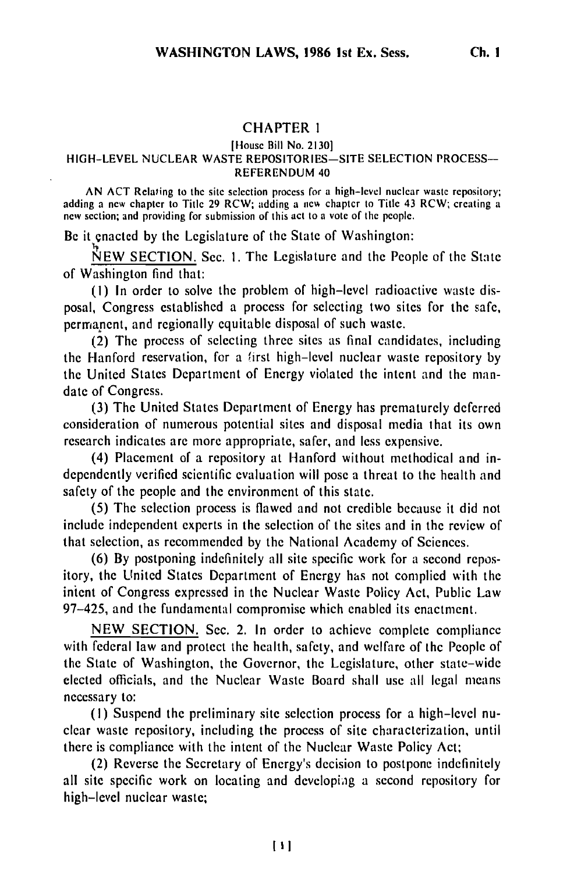## CHAPTER **I**

## [House Bill No. 21301

## HIGH-LEVEL NUCLEAR WASTE REPOSITORIES-SITE SELECTION PROCESS-REFERENDUM 40

AN ACT Relating to the site selection process for a high-level nuclear waste repository; adding a new chapter to Title 29 RCW; adding a ne% chapter to Title 43 RCW; creating a *new* section; and providing for submission of this act to a vote of the people.

Be it enacted by the Legislature of the State of Washington:

**NEW** SECTION. Sec. I. The Legislature and the People of the State of Washington find that:

(I) In order to solve the problem of high-level radioactive waste disposal, Congress established a process for selecting two sites for the safe, permanent, and regionally equitable disposal of such waste.

(2) The process of selecting three sites as final candidates, including the Hanford reservation, for a first high-level nuclear waste repository by the United States Department of Energy violated the intent and the mandate of Congress.

(3) The United States Department of Energy has prematurely deferred consideration of numerous potential sites and disposal media that its own research indicates are more appropriate, safer, and less expensive.

(4) Placement of a repository at Hanford without methodical and independently verified scientific evaluation will pose a threat to the health and safety of the people and the environment of this state.

(5) The selection process is flawed and not credible because it did not include independent experts in the selection of the sites and in the review of that selection, as recommended by the National Academy of Sciences.

(6) By postponing indefinitely all site specific work for a second repository, the United States Department of Energy has not complied with the inient of Congress expressed in the Nuclear Waste Policy Act, Public Law 97-425, and the fundamental compromise which enabled its enactment.

NEW SECTION. Sec. 2. In order to achieve complete compliance with federal law and protect the health, safety, and welfare of the People of the State of Washington, the Governor, the Legislature, other state-wide elected officials, and the Nuclear Waste Board shall use all legal means necessary to:

**(1)** Suspend the preliminary site selection process for a high-level nuclear waste repository, including the process of site characterization, until there is compliance with the intent of the Nuclear Waste Policy Act;

(2) Reverse the Secretary of Energy's decision to postpone indefinitely all site specific work on locating and developiag a second repository for high-level nuclear waste;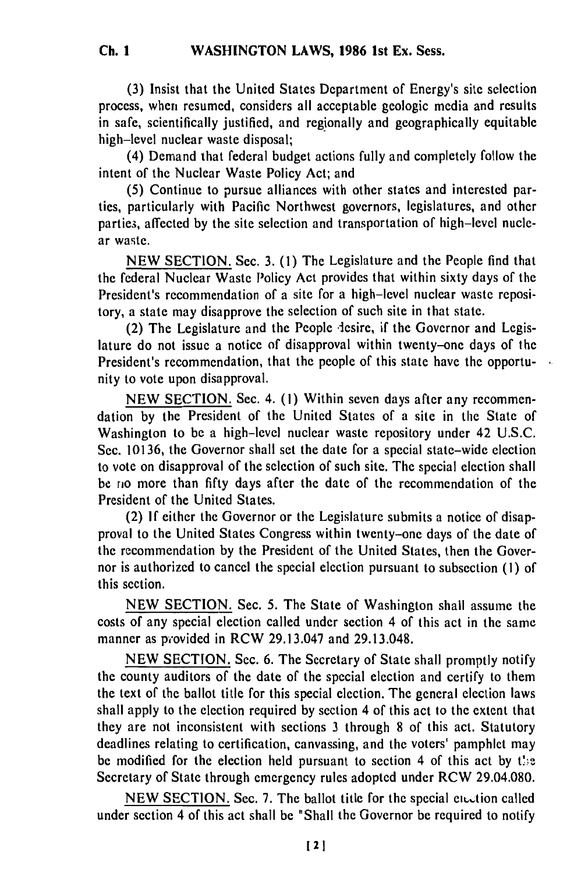(3) Insist that the United States Department of Energy's site selection process, when resumed, considers all acceptable geologic media and results in safe, scientifically justified, and regionally and geographically equitable high-level nuclear waste disposal;

(4) Demand that federal budget actions fully and completely follow the intent of the Nuclear Waste Policy Act; and

(5) Continue to pursue alliances with other states and interested parties, particularly with Pacific Northwest governors, legislatures, and other parties, affected by the site selection and transportation of high-level nuclear waste.

NEW SECTION. Sec. 3. (1) The Legislature and the People find that the federal Nuclear Waste Policy Act provides that within sixty days of the President's recommendation of a site for a high-level nuclear waste repository, a state may disapprove the selection of such site in that state.

(2) The Legislature and the People desire, if the Governor and Legislature do not issue a notice of disapproval within twenty-one days of the President's recommendation, that the people of this state have the opportunity to vote upon disapproval.

NEW SECTION. Sec. 4. (1) Within seven days after any recommendation by the President of the United States of a site in the State of Washington to be a high-level nuclear waste repository under 42 U.S.C. Sec. 10136, the Governor shall set the date for a special state-wide election to vote on disapproval of the selection of such site. The special election shall be rio more than fifty days after the date of the recommendation of the President of the United States.

(2) If either the Governor or the Legislature submits a notice of disapproval to the United States Congress within twenty-one days of the date of the recommendation by the President of the United States, then the Governor is authorized to cancel the special election pursuant to subsection **(1)** of this section.

NEW SECTION. Sec. 5. The State of Washington shall assume the costs of any special election called under section 4 of this act in the same manner as provided in RCW 29.13.047 and 29.13.048.

NEW SECTION. Sec. 6. The Secretary of State shall promptly notify the county auditors of the date of the special election and certify to them the text of the ballot title for this special election. The general election laws shall apply to the election required by section 4 of this act to the extent that they are not inconsistent with sections 3 through 8 of this act. Statutory deadlines relating to certification, canvassing, and the voters' pamphlet may be modified for the election held pursuant to section 4 of this act by the Secretary of State through emergency rules adopted under RCW 29.04.080.

NEW SECTION. Sec. 7. The ballot title for the special ensurion called under section 4 of this act shall be "Shall the Governor be required to notify